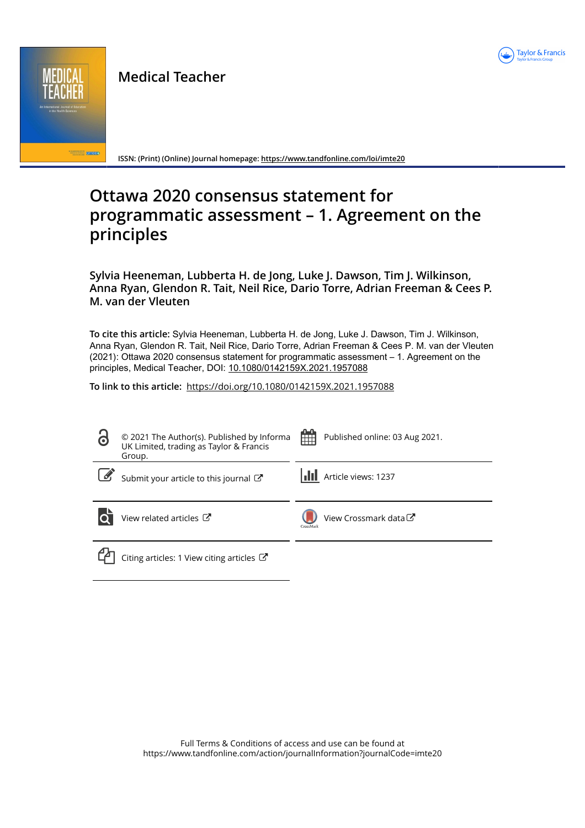

Medical Teacher

**CONTROLLED STREET** 

ISSN: (Print) (Online) Journal homepage: https://www.tandfonline.com/loi/imte20

# Ottawa 2020 consensus statement for programmatic assessment – 1. Agreement on the principles

Sylvia Heeneman, Lubberta H. de Jong, Luke J. Dawson, Tim J. Wilkinson, Anna Ryan, Glendon R. Tait, Neil Rice, Dario Torre, Adrian Freeman & Cees P. M. van der Vleuten

To cite this article: Sylvia Heeneman, Lubberta H. de Jong, Luke J. Dawson, Tim J. Wilkinson, Anna Ryan, Glendon R. Tait, Neil Rice, Dario Torre, Adrian Freeman & Cees P. M. van der Vleuten (2021): Ottawa 2020 consensus statement for programmatic assessment – 1. Agreement on the principles, Medical Teacher, DOI: 10.1080/0142159X.2021.1957088

To link to this article: https://doi.org/10.1080/0142159X.2021.1957088

| 3 | © 2021 The Author(s). Published by Informa<br>UK Limited, trading as Taylor & Francis<br>Group. | -0-0<br>m | Published online: 03 Aug 2021. |
|---|-------------------------------------------------------------------------------------------------|-----------|--------------------------------|
|   | Submit your article to this journal $\mathbb{Z}$                                                |           | <b>III</b> Article views: 1237 |
|   | View related articles C                                                                         | CrossMark | View Crossmark data C          |
|   | Citing articles: 1 View citing articles $\mathbb{Z}$                                            |           |                                |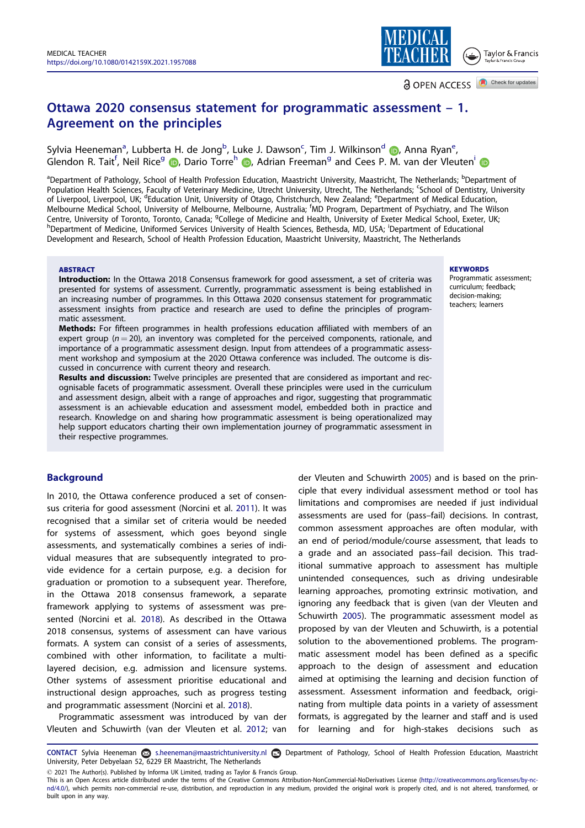Agreement on the principles

# **a** OPEN ACCESS **a** Check for updates Ottawa 2020 consensus statement for programmatic assessment – 1.

Sylvia Heeneman<sup>a</sup>, Lubberta H. de Jong<sup>b</sup>, Luke J. Dawson<sup>c</sup>, Tim J. Wilkinson<sup>d</sup> D, Anna Ryan<sup>e</sup>, Glendon R. Tait<sup>f</sup>, Neil Rice<sup>g</sup> (D, Dario Torre<sup>h</sup> (D, Adrian Freeman<sup>g</sup> and Cees P. M. van der Vleuten<sup>i</sup>

<sup>a</sup>Department of Pathology, School of Health Profession Education, Maastricht University, Maastricht, The Netherlands; <sup>b</sup>Department of Population Health Sciences, Faculty of Veterinary Medicine, Utrecht University, Utrecht, The Netherlands; <sup>c</sup>School of Dentistry, University of Liverpool, Liverpool, UK; <sup>d</sup>Education Unit, University of Otago, Christchurch, New Zealand; <sup>e</sup>Department of Medical Education, Melbourne Medical School, University of Melbourne, Melbourne, Australia; <sup>f</sup> MD Program, Department of Psychiatry, and The Wilson Centre, University of Toronto, Toronto, Canada; <sup>g</sup>College of Medicine and Health, University of Exeter Medical School, Exeter, UK;<br><sup>h</sup>Dopartment of Medicine, Uniformed Services University of Health Sciences, Bethorda, MD, Department of Medicine, Uniformed Services University of Health Sciences, Bethesda, MD, USA; <sup>i</sup> Department of Educational Development and Research, School of Health Profession Education, Maastricht University, Maastricht, The Netherlands

#### **ABSTRACT**

#### **KEYWORDS**

Taylor & Francis

Introduction: In the Ottawa 2018 Consensus framework for good assessment, a set of criteria was presented for systems of assessment. Currently, programmatic assessment is being established in Programmatic assessment; curriculum; feedback; decision-making; teachers; learners

an increasing number of programmes. In this Ottawa 2020 consensus statement for programmatic assessment insights from practice and research are used to define the principles of programmatic assessment. Methods: For fifteen programmes in health professions education affiliated with members of an

expert group ( $n = 20$ ), an inventory was completed for the perceived components, rationale, and importance of a programmatic assessment design. Input from attendees of a programmatic assessment workshop and symposium at the 2020 Ottawa conference was included. The outcome is discussed in concurrence with current theory and research.

Results and discussion: Twelve principles are presented that are considered as important and recognisable facets of programmatic assessment. Overall these principles were used in the curriculum and assessment design, albeit with a range of approaches and rigor, suggesting that programmatic assessment is an achievable education and assessment model, embedded both in practice and research. Knowledge on and sharing how programmatic assessment is being operationalized may help support educators charting their own implementation journey of programmatic assessment in their respective programmes.

## **Background**

In 2010, the Ottawa conference produced a set of consensus criteria for good assessment (Norcini et al. 2011). It was recognised that a similar set of criteria would be needed for systems of assessment, which goes beyond single assessments, and systematically combines a series of individual measures that are subsequently integrated to provide evidence for a certain purpose, e.g. a decision for graduation or promotion to a subsequent year. Therefore, in the Ottawa 2018 consensus framework, a separate framework applying to systems of assessment was presented (Norcini et al. 2018). As described in the Ottawa 2018 consensus, systems of assessment can have various formats. A system can consist of a series of assessments, combined with other information, to facilitate a multilayered decision, e.g. admission and licensure systems. Other systems of assessment prioritise educational and instructional design approaches, such as progress testing and programmatic assessment (Norcini et al. 2018).

Programmatic assessment was introduced by van der Vleuten and Schuwirth (van der Vleuten et al. 2012; van

der Vleuten and Schuwirth 2005) and is based on the principle that every individual assessment method or tool has limitations and compromises are needed if just individual assessments are used for (pass–fail) decisions. In contrast, common assessment approaches are often modular, with an end of period/module/course assessment, that leads to a grade and an associated pass–fail decision. This traditional summative approach to assessment has multiple unintended consequences, such as driving undesirable learning approaches, promoting extrinsic motivation, and ignoring any feedback that is given (van der Vleuten and Schuwirth 2005). The programmatic assessment model as proposed by van der Vleuten and Schuwirth, is a potential solution to the abovementioned problems. The programmatic assessment model has been defined as a specific approach to the design of assessment and education aimed at optimising the learning and decision function of assessment. Assessment information and feedback, originating from multiple data points in a variety of assessment formats, is aggregated by the learner and staff and is used for learning and for high-stakes decisions such as

CONTACT Sylvia Heeneman a s.heeneman@maastrichtuniversity.nl Department of Pathology, School of Health Profession Education, Maastricht University, Peter Debyelaan 52, 6229 ER Maastricht, The Netherlands

This is an Open Access article distributed under the terms of the Creative Commons Attribution-NonCommercial-NoDerivatives License (http://creativecommons.org/licenses/by-ncnd/4.0/), which permits non-commercial re-use, distribution, and reproduction in any medium, provided the original work is properly cited, and is not altered, transformed, or built upon in any way.

 $\odot$  2021 The Author(s). Published by Informa UK Limited, trading as Taylor & Francis Group.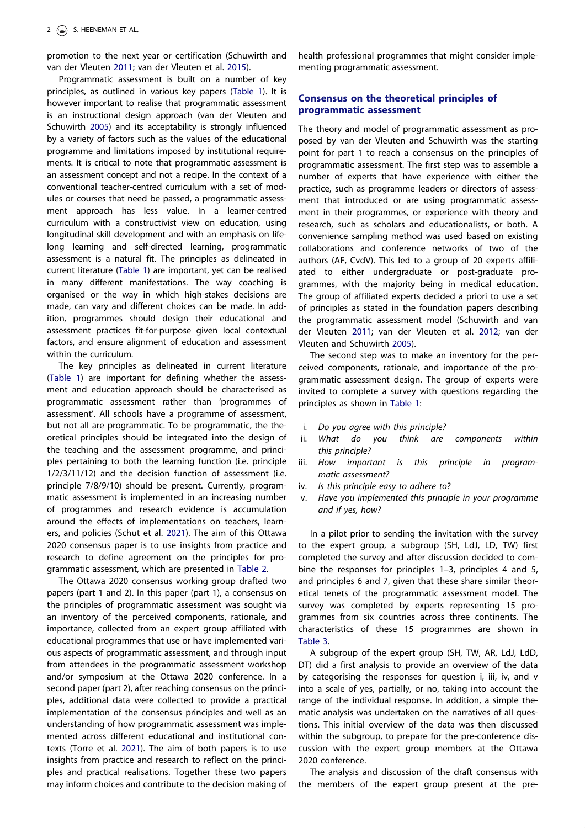promotion to the next year or certification (Schuwirth and van der Vleuten 2011; van der Vleuten et al. 2015).

Programmatic assessment is built on a number of key principles, as outlined in various key papers (Table 1). It is however important to realise that programmatic assessment is an instructional design approach (van der Vleuten and Schuwirth 2005) and its acceptability is strongly influenced by a variety of factors such as the values of the educational programme and limitations imposed by institutional requirements. It is critical to note that programmatic assessment is an assessment concept and not a recipe. In the context of a conventional teacher-centred curriculum with a set of modules or courses that need be passed, a programmatic assessment approach has less value. In a learner-centred curriculum with a constructivist view on education, using longitudinal skill development and with an emphasis on lifelong learning and self-directed learning, programmatic assessment is a natural fit. The principles as delineated in current literature (Table 1) are important, yet can be realised in many different manifestations. The way coaching is organised or the way in which high-stakes decisions are made, can vary and different choices can be made. In addition, programmes should design their educational and assessment practices fit-for-purpose given local contextual factors, and ensure alignment of education and assessment within the curriculum.

The key principles as delineated in current literature (Table 1) are important for defining whether the assessment and education approach should be characterised as programmatic assessment rather than 'programmes of assessment'. All schools have a programme of assessment, but not all are programmatic. To be programmatic, the theoretical principles should be integrated into the design of the teaching and the assessment programme, and principles pertaining to both the learning function (i.e. principle 1/2/3/11/12) and the decision function of assessment (i.e. principle 7/8/9/10) should be present. Currently, programmatic assessment is implemented in an increasing number of programmes and research evidence is accumulation around the effects of implementations on teachers, learners, and policies (Schut et al. 2021). The aim of this Ottawa 2020 consensus paper is to use insights from practice and research to define agreement on the principles for programmatic assessment, which are presented in Table 2.

The Ottawa 2020 consensus working group drafted two papers (part 1 and 2). In this paper (part 1), a consensus on the principles of programmatic assessment was sought via an inventory of the perceived components, rationale, and importance, collected from an expert group affiliated with educational programmes that use or have implemented various aspects of programmatic assessment, and through input from attendees in the programmatic assessment workshop and/or symposium at the Ottawa 2020 conference. In a second paper (part 2), after reaching consensus on the principles, additional data were collected to provide a practical implementation of the consensus principles and well as an understanding of how programmatic assessment was implemented across different educational and institutional contexts (Torre et al. 2021). The aim of both papers is to use insights from practice and research to reflect on the principles and practical realisations. Together these two papers may inform choices and contribute to the decision making of health professional programmes that might consider implementing programmatic assessment.

## Consensus on the theoretical principles of programmatic assessment

The theory and model of programmatic assessment as proposed by van der Vleuten and Schuwirth was the starting point for part 1 to reach a consensus on the principles of programmatic assessment. The first step was to assemble a number of experts that have experience with either the practice, such as programme leaders or directors of assessment that introduced or are using programmatic assessment in their programmes, or experience with theory and research, such as scholars and educationalists, or both. A convenience sampling method was used based on existing collaborations and conference networks of two of the authors (AF, CvdV). This led to a group of 20 experts affiliated to either undergraduate or post-graduate programmes, with the majority being in medical education. The group of affiliated experts decided a priori to use a set of principles as stated in the foundation papers describing the programmatic assessment model (Schuwirth and van der Vleuten 2011; van der Vleuten et al. 2012; van der Vleuten and Schuwirth 2005).

The second step was to make an inventory for the perceived components, rationale, and importance of the programmatic assessment design. The group of experts were invited to complete a survey with questions regarding the principles as shown in Table 1:

- i. Do you agree with this principle?
- ii. What do you think are components within this principle?
- iii. How important is this principle in programmatic assessment?
- iv. Is this principle easy to adhere to?
- v. Have you implemented this principle in your programme and if yes, how?

In a pilot prior to sending the invitation with the survey to the expert group, a subgroup (SH, LdJ, LD, TW) first completed the survey and after discussion decided to combine the responses for principles 1–3, principles 4 and 5, and principles 6 and 7, given that these share similar theoretical tenets of the programmatic assessment model. The survey was completed by experts representing 15 programmes from six countries across three continents. The characteristics of these 15 programmes are shown in Table 3.

A subgroup of the expert group (SH, TW, AR, LdJ, LdD, DT) did a first analysis to provide an overview of the data by categorising the responses for question i, iii, iv, and v into a scale of yes, partially, or no, taking into account the range of the individual response. In addition, a simple thematic analysis was undertaken on the narratives of all questions. This initial overview of the data was then discussed within the subgroup, to prepare for the pre-conference discussion with the expert group members at the Ottawa 2020 conference.

The analysis and discussion of the draft consensus with the members of the expert group present at the pre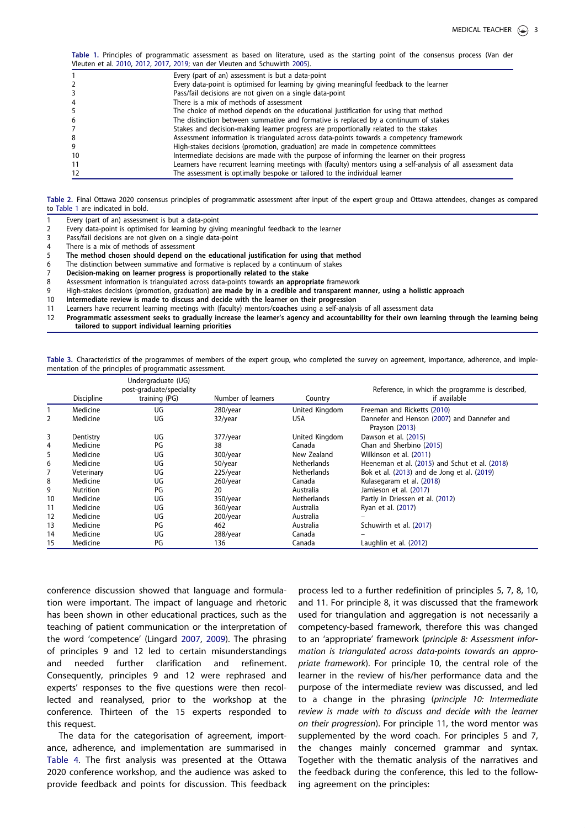Table 1. Principles of programmatic assessment as based on literature, used as the starting point of the consensus process (Van der Vleuten et al. 2010, 2012, 2017, 2019; van der Vleuten and Schuwirth 2005).

|    | Every (part of an) assessment is but a data-point                                                             |
|----|---------------------------------------------------------------------------------------------------------------|
|    | Every data-point is optimised for learning by giving meaningful feedback to the learner                       |
|    | Pass/fail decisions are not given on a single data-point                                                      |
|    | There is a mix of methods of assessment                                                                       |
|    | The choice of method depends on the educational justification for using that method                           |
| 6  | The distinction between summative and formative is replaced by a continuum of stakes                          |
|    | Stakes and decision-making learner progress are proportionally related to the stakes                          |
| 8  | Assessment information is triangulated across data-points towards a competency framework                      |
| 9  | High-stakes decisions (promotion, graduation) are made in competence committees                               |
| 10 | Intermediate decisions are made with the purpose of informing the learner on their progress                   |
| 11 | Learners have recurrent learning meetings with (faculty) mentors using a self-analysis of all assessment data |
| 12 | The assessment is optimally bespoke or tailored to the individual learner                                     |
|    |                                                                                                               |

Table 2. Final Ottawa 2020 consensus principles of programmatic assessment after input of the expert group and Ottawa attendees, changes as compared to Table 1 are indicated in bold.

- 1 Every (part of an) assessment is but a data-point
- 2 Every data-point is optimised for learning by giving meaningful feedback to the learner<br>3 Pass/fail decisions are not given on a single data-point
- Pass/fail decisions are not given on a single data-point
- 4 There is a mix of methods of assessment<br>5 The method chosen should depend on
- 5 The method chosen should depend on the educational justification for using that method<br>6 The distinction between summative and formative is replaced by a continuum of stakes
- 6 The distinction between summative and formative is replaced by a continuum of stakes  $7$  Decision-making on learner progress is proportionally related to the stake
- 7 Decision-making on learner progress is proportionally related to the stake<br>8 Assessment information is triangulated across data-points towards an approp Assessment information is triangulated across data-points towards an appropriate framework
- 9 High-stakes decisions (promotion, graduation) are made by in a credible and transparent manner, using a holistic approach
- 10 Intermediate review is made to discuss and decide with the learner on their progression
- 11 Learners have recurrent learning meetings with (faculty) mentors/coaches using a self-analysis of all assessment data<br>12 Programmatic assessment seeks to gradually increase the learner's agency and accountability for th

12 Programmatic assessment seeks to gradually increase the learner's agency and accountability for their own learning through the learning being tailored to support individual learning priorities

Table 3. Characteristics of the programmes of members of the expert group, who completed the survey on agreement, importance, adherence, and implementation of the principles of programmatic assessment.

|    | <b>Discipline</b> | Undergraduate (UG)<br>post-graduate/speciality<br>training (PG) | Number of learners | Country            | Reference, in which the programme is described,<br>if available |
|----|-------------------|-----------------------------------------------------------------|--------------------|--------------------|-----------------------------------------------------------------|
|    | Medicine          | UG                                                              | 280/year           | United Kingdom     | Freeman and Ricketts (2010)                                     |
| 2  | Medicine          | UG                                                              | 32/year            | <b>USA</b>         | Dannefer and Henson (2007) and Dannefer and<br>Prayson (2013)   |
| 3  | Dentistry         | UG                                                              | 377/year           | United Kingdom     | Dawson et al. (2015)                                            |
| 4  | Medicine          | PG                                                              | 38                 | Canada             | Chan and Sherbino (2015)                                        |
| 5  | Medicine          | UG                                                              | 300/year           | New Zealand        | Wilkinson et al. (2011)                                         |
| 6  | Medicine          | UG                                                              | 50/year            | <b>Netherlands</b> | Heeneman et al. (2015) and Schut et al. (2018)                  |
| 7  | Veterinary        | UG                                                              | $225$ /year        | <b>Netherlands</b> | Bok et al. (2013) and de Jong et al. (2019)                     |
| 8  | Medicine          | UG                                                              | $260$ /year        | Canada             | Kulasegaram et al. (2018)                                       |
| 9  | <b>Nutrition</b>  | PG                                                              | 20                 | Australia          | Jamieson et al. (2017)                                          |
| 10 | Medicine          | UG                                                              | 350/year           | <b>Netherlands</b> | Partly in Driessen et al. (2012)                                |
| 11 | Medicine          | UG                                                              | 360/year           | Australia          | Ryan et al. (2017)                                              |
| 12 | Medicine          | UG                                                              | $200$ /year        | Australia          |                                                                 |
| 13 | Medicine          | PG                                                              | 462                | Australia          | Schuwirth et al. (2017)                                         |
| 14 | Medicine          | UG                                                              | 288/year           | Canada             |                                                                 |
| 15 | Medicine          | PG                                                              | 136                | Canada             | Laughlin et al. (2012)                                          |

conference discussion showed that language and formulation were important. The impact of language and rhetoric has been shown in other educational practices, such as the teaching of patient communication or the interpretation of the word 'competence' (Lingard 2007, 2009). The phrasing of principles 9 and 12 led to certain misunderstandings and needed further clarification and refinement. Consequently, principles 9 and 12 were rephrased and experts' responses to the five questions were then recollected and reanalysed, prior to the workshop at the conference. Thirteen of the 15 experts responded to this request.

The data for the categorisation of agreement, importance, adherence, and implementation are summarised in Table 4. The first analysis was presented at the Ottawa 2020 conference workshop, and the audience was asked to provide feedback and points for discussion. This feedback

process led to a further redefinition of principles 5, 7, 8, 10, and 11. For principle 8, it was discussed that the framework used for triangulation and aggregation is not necessarily a competency-based framework, therefore this was changed to an 'appropriate' framework (principle 8: Assessment information is triangulated across data-points towards an appropriate framework). For principle 10, the central role of the learner in the review of his/her performance data and the purpose of the intermediate review was discussed, and led to a change in the phrasing (principle 10: Intermediate review is made with to discuss and decide with the learner on their progression). For principle 11, the word mentor was supplemented by the word coach. For principles 5 and 7, the changes mainly concerned grammar and syntax. Together with the thematic analysis of the narratives and the feedback during the conference, this led to the following agreement on the principles: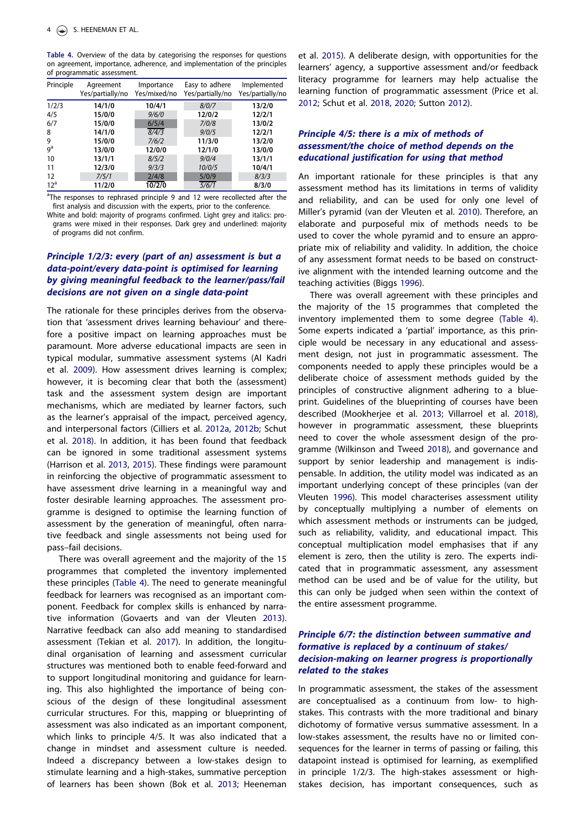Table 4. Overview of the data by categorising the responses for questions on agreement, importance, adherence, and implementation of the principles of programmatic assessment.

| Principle       | Agreement<br>Yes/partially/no | Importance<br>Yes/mixed/no | Easy to adhere<br>Yes/partially/no | Implemented<br>Yes/partially/no |
|-----------------|-------------------------------|----------------------------|------------------------------------|---------------------------------|
| 1/2/3           | 14/1/0                        | 10/4/1                     | 8/0/7                              | 13/2/0                          |
| 4/5             | 15/0/0                        | 9/6/0                      | 12/0/2                             | 12/2/1                          |
| 6/7             | 15/0/0                        | 6/5/4                      | 7/0/8                              | 13/0/2                          |
| 8               | 14/1/0                        | $\sqrt{8/4/3}$             | 9/0/5                              | 12/2/1                          |
| 9               | 15/0/0                        | 7/6/2                      | 11/3/0                             | 13/2/0                          |
| $q^a$           | 13/0/0                        | 12/0/0                     | 12/1/0                             | 13/0/0                          |
| 10              | 13/1/1                        | 8/5/2                      | 9/0/4                              | 13/1/1                          |
| 11              | 12/3/0                        | 9/3/3                      | 10/0/5                             | 10/4/1                          |
| 12              | 7/5/1                         | 2/4/8                      | 5/0/9                              | 8/3/3                           |
| 12 <sup>a</sup> | 11/2/0                        | 10/2/0                     | $\frac{5}{6/1}$                    | 8/3/0                           |

<sup>a</sup>The responses to rephrased principle 9 and 12 were recollected after the first analysis and discussion with the experts, prior to the conference.

White and bold: majority of programs confirmed. Light grey and italics: programs were mixed in their responses. Dark grey and underlined: majority of programs did not confirm.

# Principle 1/2/3: every (part of an) assessment is but a data-point/every data-point is optimised for learning by giving meaningful feedback to the learner/pass/fail decisions are not given on a single data-point

The rationale for these principles derives from the observation that 'assessment drives learning behaviour' and therefore a positive impact on learning approaches must be paramount. More adverse educational impacts are seen in typical modular, summative assessment systems (Al Kadri et al. 2009). How assessment drives learning is complex; however, it is becoming clear that both the (assessment) task and the assessment system design are important mechanisms, which are mediated by learner factors, such as the learner's appraisal of the impact, perceived agency, and interpersonal factors (Cilliers et al. 2012a, 2012b; Schut et al. 2018). In addition, it has been found that feedback can be ignored in some traditional assessment systems (Harrison et al. 2013, 2015). These findings were paramount in reinforcing the objective of programmatic assessment to have assessment drive learning in a meaningful way and foster desirable learning approaches. The assessment programme is designed to optimise the learning function of assessment by the generation of meaningful, often narrative feedback and single assessments not being used for pass–fail decisions.

There was overall agreement and the majority of the 15 programmes that completed the inventory implemented these principles (Table 4). The need to generate meaningful feedback for learners was recognised as an important component. Feedback for complex skills is enhanced by narrative information (Govaerts and van der Vleuten 2013). Narrative feedback can also add meaning to standardised assessment (Tekian et al. 2017). In addition, the longitudinal organisation of learning and assessment curricular structures was mentioned both to enable feed-forward and to support longitudinal monitoring and guidance for learning. This also highlighted the importance of being conscious of the design of these longitudinal assessment curricular structures. For this, mapping or blueprinting of assessment was also indicated as an important component, which links to principle 4/5. It was also indicated that a change in mindset and assessment culture is needed. Indeed a discrepancy between a low-stakes design to stimulate learning and a high-stakes, summative perception of learners has been shown (Bok et al. 2013; Heeneman

et al. 2015). A deliberate design, with opportunities for the learners' agency, a supportive assessment and/or feedback literacy programme for learners may help actualise the learning function of programmatic assessment (Price et al. 2012; Schut et al. 2018, 2020; Sutton 2012).

## Principle 4/5: there is a mix of methods of assessment/the choice of method depends on the educational justification for using that method

An important rationale for these principles is that any assessment method has its limitations in terms of validity and reliability, and can be used for only one level of Miller's pyramid (van der Vleuten et al. 2010). Therefore, an elaborate and purposeful mix of methods needs to be used to cover the whole pyramid and to ensure an appropriate mix of reliability and validity. In addition, the choice of any assessment format needs to be based on constructive alignment with the intended learning outcome and the teaching activities (Biggs 1996).

There was overall agreement with these principles and the majority of the 15 programmes that completed the inventory implemented them to some degree (Table 4). Some experts indicated a 'partial' importance, as this principle would be necessary in any educational and assessment design, not just in programmatic assessment. The components needed to apply these principles would be a deliberate choice of assessment methods guided by the principles of constructive alignment adhering to a blueprint. Guidelines of the blueprinting of courses have been described (Mookherjee et al. 2013; Villarroel et al. 2018), however in programmatic assessment, these blueprints need to cover the whole assessment design of the programme (Wilkinson and Tweed 2018), and governance and support by senior leadership and management is indispensable. In addition, the utility model was indicated as an important underlying concept of these principles (van der Vleuten 1996). This model characterises assessment utility by conceptually multiplying a number of elements on which assessment methods or instruments can be judged, such as reliability, validity, and educational impact. This conceptual multiplication model emphasises that if any element is zero, then the utility is zero. The experts indicated that in programmatic assessment, any assessment method can be used and be of value for the utility, but this can only be judged when seen within the context of the entire assessment programme.

## Principle 6/7: the distinction between summative and formative is replaced by a continuum of stakes/ decision-making on learner progress is proportionally related to the stakes

In programmatic assessment, the stakes of the assessment are conceptualised as a continuum from low- to highstakes. This contrasts with the more traditional and binary dichotomy of formative versus summative assessment. In a low-stakes assessment, the results have no or limited consequences for the learner in terms of passing or failing, this datapoint instead is optimised for learning, as exemplified in principle 1/2/3. The high-stakes assessment or highstakes decision, has important consequences, such as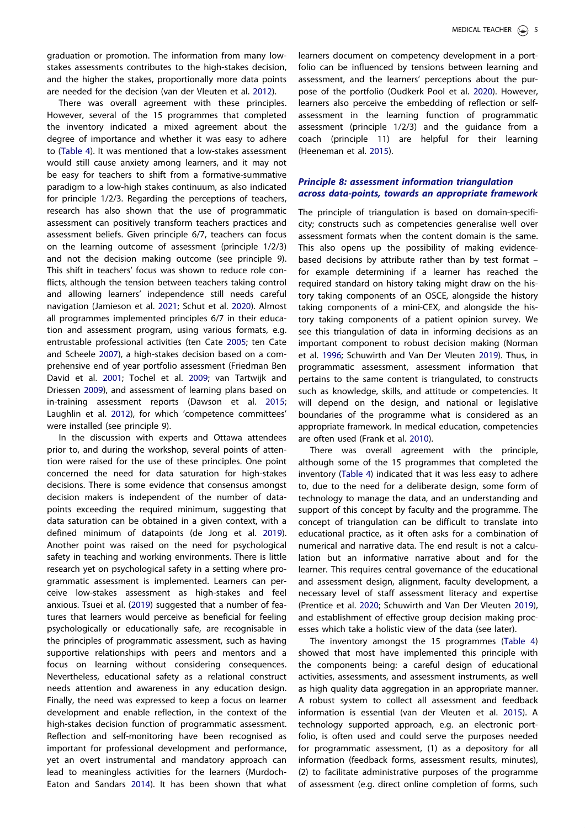graduation or promotion. The information from many lowstakes assessments contributes to the high-stakes decision, and the higher the stakes, proportionally more data points are needed for the decision (van der Vleuten et al. 2012).

There was overall agreement with these principles. However, several of the 15 programmes that completed the inventory indicated a mixed agreement about the degree of importance and whether it was easy to adhere to (Table 4). It was mentioned that a low-stakes assessment would still cause anxiety among learners, and it may not be easy for teachers to shift from a formative-summative paradigm to a low-high stakes continuum, as also indicated for principle 1/2/3. Regarding the perceptions of teachers, research has also shown that the use of programmatic assessment can positively transform teachers practices and assessment beliefs. Given principle 6/7, teachers can focus on the learning outcome of assessment (principle 1/2/3) and not the decision making outcome (see principle 9). This shift in teachers' focus was shown to reduce role conflicts, although the tension between teachers taking control and allowing learners' independence still needs careful navigation (Jamieson et al. 2021; Schut et al. 2020). Almost all programmes implemented principles 6/7 in their education and assessment program, using various formats, e.g. entrustable professional activities (ten Cate 2005; ten Cate and Scheele 2007), a high-stakes decision based on a comprehensive end of year portfolio assessment (Friedman Ben David et al. 2001; Tochel et al. 2009; van Tartwijk and Driessen 2009), and assessment of learning plans based on in-training assessment reports (Dawson et al. 2015; Laughlin et al. 2012), for which 'competence committees' were installed (see principle 9).

In the discussion with experts and Ottawa attendees prior to, and during the workshop, several points of attention were raised for the use of these principles. One point concerned the need for data saturation for high-stakes decisions. There is some evidence that consensus amongst decision makers is independent of the number of datapoints exceeding the required minimum, suggesting that data saturation can be obtained in a given context, with a defined minimum of datapoints (de Jong et al. 2019). Another point was raised on the need for psychological safety in teaching and working environments. There is little research yet on psychological safety in a setting where programmatic assessment is implemented. Learners can perceive low-stakes assessment as high-stakes and feel anxious. Tsuei et al. (2019) suggested that a number of features that learners would perceive as beneficial for feeling psychologically or educationally safe, are recognisable in the principles of programmatic assessment, such as having supportive relationships with peers and mentors and a focus on learning without considering consequences. Nevertheless, educational safety as a relational construct needs attention and awareness in any education design. Finally, the need was expressed to keep a focus on learner development and enable reflection, in the context of the high-stakes decision function of programmatic assessment. Reflection and self-monitoring have been recognised as important for professional development and performance, yet an overt instrumental and mandatory approach can lead to meaningless activities for the learners (Murdoch-Eaton and Sandars 2014). It has been shown that what learners document on competency development in a portfolio can be influenced by tensions between learning and assessment, and the learners' perceptions about the purpose of the portfolio (Oudkerk Pool et al. 2020). However, learners also perceive the embedding of reflection or selfassessment in the learning function of programmatic assessment (principle 1/2/3) and the guidance from a coach (principle 11) are helpful for their learning (Heeneman et al. 2015).

#### Principle 8: assessment information triangulation across data-points, towards an appropriate framework

The principle of triangulation is based on domain-specificity; constructs such as competencies generalise well over assessment formats when the content domain is the same. This also opens up the possibility of making evidencebased decisions by attribute rather than by test format – for example determining if a learner has reached the required standard on history taking might draw on the history taking components of an OSCE, alongside the history taking components of a mini-CEX, and alongside the history taking components of a patient opinion survey. We see this triangulation of data in informing decisions as an important component to robust decision making (Norman et al. 1996; Schuwirth and Van Der Vleuten 2019). Thus, in programmatic assessment, assessment information that pertains to the same content is triangulated, to constructs such as knowledge, skills, and attitude or competencies. It will depend on the design, and national or legislative boundaries of the programme what is considered as an appropriate framework. In medical education, competencies are often used (Frank et al. 2010).

There was overall agreement with the principle, although some of the 15 programmes that completed the inventory (Table 4) indicated that it was less easy to adhere to, due to the need for a deliberate design, some form of technology to manage the data, and an understanding and support of this concept by faculty and the programme. The concept of triangulation can be difficult to translate into educational practice, as it often asks for a combination of numerical and narrative data. The end result is not a calculation but an informative narrative about and for the learner. This requires central governance of the educational and assessment design, alignment, faculty development, a necessary level of staff assessment literacy and expertise (Prentice et al. 2020; Schuwirth and Van Der Vleuten 2019), and establishment of effective group decision making processes which take a holistic view of the data (see later).

The inventory amongst the 15 programmes (Table 4) showed that most have implemented this principle with the components being: a careful design of educational activities, assessments, and assessment instruments, as well as high quality data aggregation in an appropriate manner. A robust system to collect all assessment and feedback information is essential (van der Vleuten et al. 2015). A technology supported approach, e.g. an electronic portfolio, is often used and could serve the purposes needed for programmatic assessment, (1) as a depository for all information (feedback forms, assessment results, minutes), (2) to facilitate administrative purposes of the programme of assessment (e.g. direct online completion of forms, such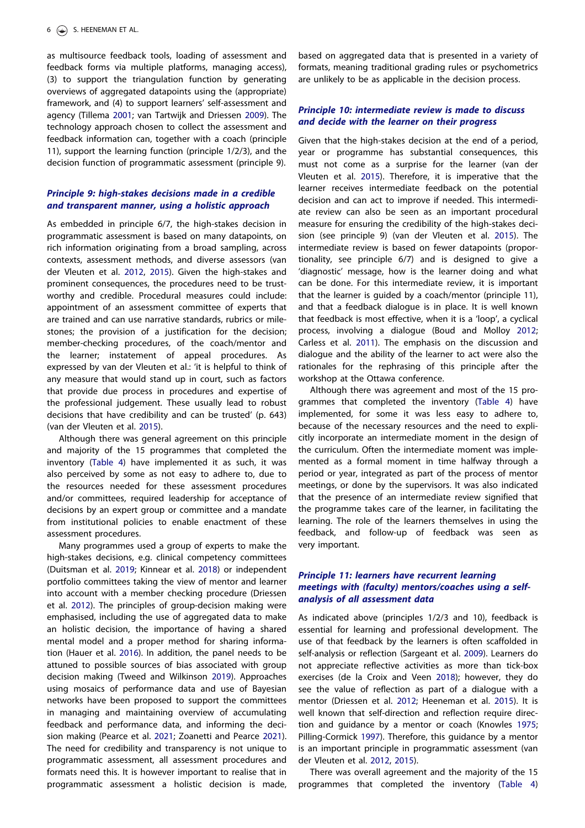as multisource feedback tools, loading of assessment and feedback forms via multiple platforms, managing access), (3) to support the triangulation function by generating overviews of aggregated datapoints using the (appropriate) framework, and (4) to support learners' self-assessment and agency (Tillema 2001; van Tartwijk and Driessen 2009). The technology approach chosen to collect the assessment and feedback information can, together with a coach (principle 11), support the learning function (principle 1/2/3), and the decision function of programmatic assessment (principle 9).

### Principle 9: high-stakes decisions made in a credible and transparent manner, using a holistic approach

As embedded in principle 6/7, the high-stakes decision in programmatic assessment is based on many datapoints, on rich information originating from a broad sampling, across contexts, assessment methods, and diverse assessors (van der Vleuten et al. 2012, 2015). Given the high-stakes and prominent consequences, the procedures need to be trustworthy and credible. Procedural measures could include: appointment of an assessment committee of experts that are trained and can use narrative standards, rubrics or milestones; the provision of a justification for the decision; member-checking procedures, of the coach/mentor and the learner; instatement of appeal procedures. As expressed by van der Vleuten et al.: 'it is helpful to think of any measure that would stand up in court, such as factors that provide due process in procedures and expertise of the professional judgement. These usually lead to robust decisions that have credibility and can be trusted' (p. 643) (van der Vleuten et al. 2015).

Although there was general agreement on this principle and majority of the 15 programmes that completed the inventory (Table 4) have implemented it as such, it was also perceived by some as not easy to adhere to, due to the resources needed for these assessment procedures and/or committees, required leadership for acceptance of decisions by an expert group or committee and a mandate from institutional policies to enable enactment of these assessment procedures.

Many programmes used a group of experts to make the high-stakes decisions, e.g. clinical competency committees (Duitsman et al. 2019; Kinnear et al. 2018) or independent portfolio committees taking the view of mentor and learner into account with a member checking procedure (Driessen et al. 2012). The principles of group-decision making were emphasised, including the use of aggregated data to make an holistic decision, the importance of having a shared mental model and a proper method for sharing information (Hauer et al. 2016). In addition, the panel needs to be attuned to possible sources of bias associated with group decision making (Tweed and Wilkinson 2019). Approaches using mosaics of performance data and use of Bayesian networks have been proposed to support the committees in managing and maintaining overview of accumulating feedback and performance data, and informing the decision making (Pearce et al. 2021; Zoanetti and Pearce 2021). The need for credibility and transparency is not unique to programmatic assessment, all assessment procedures and formats need this. It is however important to realise that in programmatic assessment a holistic decision is made, based on aggregated data that is presented in a variety of formats, meaning traditional grading rules or psychometrics are unlikely to be as applicable in the decision process.

### Principle 10: intermediate review is made to discuss and decide with the learner on their progress

Given that the high-stakes decision at the end of a period, year or programme has substantial consequences, this must not come as a surprise for the learner (van der Vleuten et al. 2015). Therefore, it is imperative that the learner receives intermediate feedback on the potential decision and can act to improve if needed. This intermediate review can also be seen as an important procedural measure for ensuring the credibility of the high-stakes decision (see principle 9) (van der Vleuten et al. 2015). The intermediate review is based on fewer datapoints (proportionality, see principle 6/7) and is designed to give a 'diagnostic' message, how is the learner doing and what can be done. For this intermediate review, it is important that the learner is guided by a coach/mentor (principle 11), and that a feedback dialogue is in place. It is well known that feedback is most effective, when it is a 'loop', a cyclical process, involving a dialogue (Boud and Molloy 2012; Carless et al. 2011). The emphasis on the discussion and dialogue and the ability of the learner to act were also the rationales for the rephrasing of this principle after the workshop at the Ottawa conference.

Although there was agreement and most of the 15 programmes that completed the inventory (Table 4) have implemented, for some it was less easy to adhere to, because of the necessary resources and the need to explicitly incorporate an intermediate moment in the design of the curriculum. Often the intermediate moment was implemented as a formal moment in time halfway through a period or year, integrated as part of the process of mentor meetings, or done by the supervisors. It was also indicated that the presence of an intermediate review signified that the programme takes care of the learner, in facilitating the learning. The role of the learners themselves in using the feedback, and follow-up of feedback was seen as very important.

#### Principle 11: learners have recurrent learning meetings with (faculty) mentors/coaches using a selfanalysis of all assessment data

As indicated above (principles 1/2/3 and 10), feedback is essential for learning and professional development. The use of that feedback by the learners is often scaffolded in self-analysis or reflection (Sargeant et al. 2009). Learners do not appreciate reflective activities as more than tick-box exercises (de la Croix and Veen 2018); however, they do see the value of reflection as part of a dialogue with a mentor (Driessen et al. 2012; Heeneman et al. 2015). It is well known that self-direction and reflection require direction and guidance by a mentor or coach (Knowles 1975; Pilling-Cormick 1997). Therefore, this guidance by a mentor is an important principle in programmatic assessment (van der Vleuten et al. 2012, 2015).

There was overall agreement and the majority of the 15 programmes that completed the inventory (Table 4)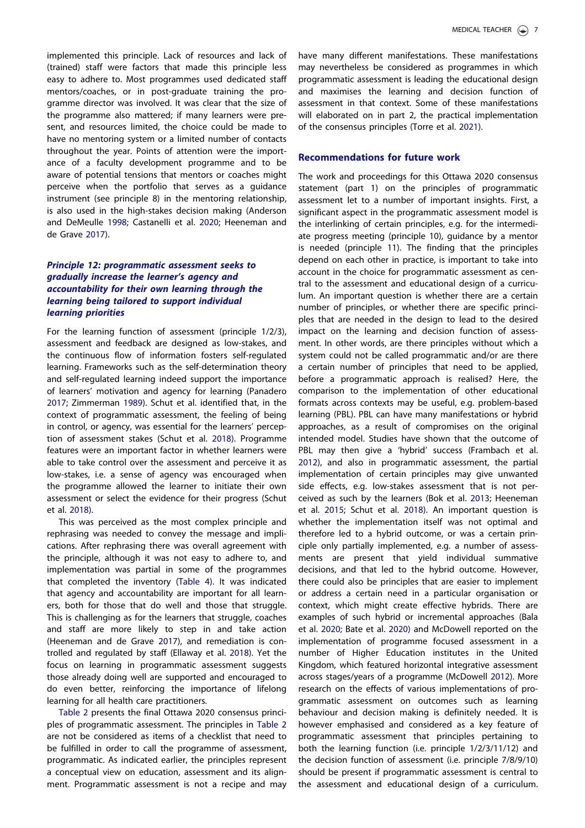implemented this principle. Lack of resources and lack of (trained) staff were factors that made this principle less easy to adhere to. Most programmes used dedicated staff mentors/coaches, or in post-graduate training the programme director was involved. It was clear that the size of the programme also mattered; if many learners were present, and resources limited, the choice could be made to have no mentoring system or a limited number of contacts throughout the year. Points of attention were the importance of a faculty development programme and to be aware of potential tensions that mentors or coaches might perceive when the portfolio that serves as a guidance instrument (see principle 8) in the mentoring relationship, is also used in the high-stakes decision making (Anderson and DeMeulle 1998; Castanelli et al. 2020; Heeneman and de Grave 2017).

## Principle 12: programmatic assessment seeks to gradually increase the learner's agency and accountability for their own learning through the learning being tailored to support individual learning priorities

For the learning function of assessment (principle 1/2/3), assessment and feedback are designed as low-stakes, and the continuous flow of information fosters self-regulated learning. Frameworks such as the self-determination theory and self-regulated learning indeed support the importance of learners' motivation and agency for learning (Panadero 2017; Zimmerman 1989). Schut et al. identified that, in the context of programmatic assessment, the feeling of being in control, or agency, was essential for the learners' perception of assessment stakes (Schut et al. 2018). Programme features were an important factor in whether learners were able to take control over the assessment and perceive it as low-stakes, i.e. a sense of agency was encouraged when the programme allowed the learner to initiate their own assessment or select the evidence for their progress (Schut et al. 2018).

This was perceived as the most complex principle and rephrasing was needed to convey the message and implications. After rephrasing there was overall agreement with the principle, although it was not easy to adhere to, and implementation was partial in some of the programmes that completed the inventory (Table 4). It was indicated that agency and accountability are important for all learners, both for those that do well and those that struggle. This is challenging as for the learners that struggle, coaches and staff are more likely to step in and take action (Heeneman and de Grave 2017), and remediation is controlled and regulated by staff (Ellaway et al. 2018). Yet the focus on learning in programmatic assessment suggests those already doing well are supported and encouraged to do even better, reinforcing the importance of lifelong learning for all health care practitioners.

Table 2 presents the final Ottawa 2020 consensus principles of programmatic assessment. The principles in Table 2 are not be considered as items of a checklist that need to be fulfilled in order to call the programme of assessment, programmatic. As indicated earlier, the principles represent a conceptual view on education, assessment and its alignment. Programmatic assessment is not a recipe and may have many different manifestations. These manifestations may nevertheless be considered as programmes in which programmatic assessment is leading the educational design and maximises the learning and decision function of assessment in that context. Some of these manifestations will elaborated on in part 2, the practical implementation of the consensus principles (Torre et al. 2021).

## Recommendations for future work

The work and proceedings for this Ottawa 2020 consensus statement (part 1) on the principles of programmatic assessment let to a number of important insights. First, a significant aspect in the programmatic assessment model is the interlinking of certain principles, e.g. for the intermediate progress meeting (principle 10), guidance by a mentor is needed (principle 11). The finding that the principles depend on each other in practice, is important to take into account in the choice for programmatic assessment as central to the assessment and educational design of a curriculum. An important question is whether there are a certain number of principles, or whether there are specific principles that are needed in the design to lead to the desired impact on the learning and decision function of assessment. In other words, are there principles without which a system could not be called programmatic and/or are there a certain number of principles that need to be applied, before a programmatic approach is realised? Here, the comparison to the implementation of other educational formats across contexts may be useful, e.g. problem-based learning (PBL). PBL can have many manifestations or hybrid approaches, as a result of compromises on the original intended model. Studies have shown that the outcome of PBL may then give a 'hybrid' success (Frambach et al. 2012), and also in programmatic assessment, the partial implementation of certain principles may give unwanted side effects, e.g. low-stakes assessment that is not perceived as such by the learners (Bok et al. 2013; Heeneman et al. 2015; Schut et al. 2018). An important question is whether the implementation itself was not optimal and therefore led to a hybrid outcome, or was a certain principle only partially implemented, e.g. a number of assessments are present that yield individual summative decisions, and that led to the hybrid outcome. However, there could also be principles that are easier to implement or address a certain need in a particular organisation or context, which might create effective hybrids. There are examples of such hybrid or incremental approaches (Bala et al. 2020; Bate et al. 2020) and McDowell reported on the implementation of programme focused assessment in a number of Higher Education institutes in the United Kingdom, which featured horizontal integrative assessment across stages/years of a programme (McDowell 2012). More research on the effects of various implementations of programmatic assessment on outcomes such as learning behaviour and decision making is definitely needed. It is however emphasised and considered as a key feature of programmatic assessment that principles pertaining to both the learning function (i.e. principle 1/2/3/11/12) and the decision function of assessment (i.e. principle 7/8/9/10) should be present if programmatic assessment is central to the assessment and educational design of a curriculum.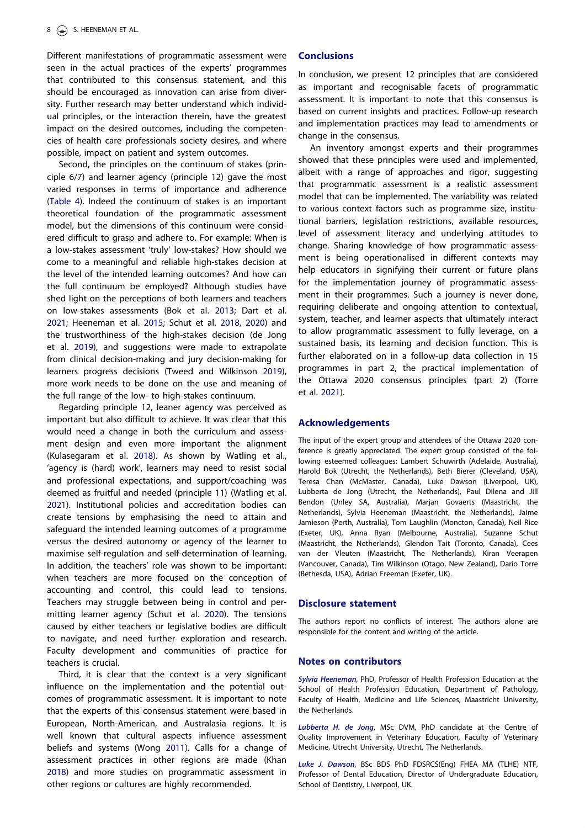Different manifestations of programmatic assessment were seen in the actual practices of the experts' programmes that contributed to this consensus statement, and this should be encouraged as innovation can arise from diversity. Further research may better understand which individual principles, or the interaction therein, have the greatest impact on the desired outcomes, including the competencies of health care professionals society desires, and where possible, impact on patient and system outcomes.

Second, the principles on the continuum of stakes (principle 6/7) and learner agency (principle 12) gave the most varied responses in terms of importance and adherence (Table 4). Indeed the continuum of stakes is an important theoretical foundation of the programmatic assessment model, but the dimensions of this continuum were considered difficult to grasp and adhere to. For example: When is a low-stakes assessment 'truly' low-stakes? How should we come to a meaningful and reliable high-stakes decision at the level of the intended learning outcomes? And how can the full continuum be employed? Although studies have shed light on the perceptions of both learners and teachers on low-stakes assessments (Bok et al. 2013; Dart et al. 2021; Heeneman et al. 2015; Schut et al. 2018, 2020) and the trustworthiness of the high-stakes decision (de Jong et al. 2019), and suggestions were made to extrapolate from clinical decision-making and jury decision-making for learners progress decisions (Tweed and Wilkinson 2019), more work needs to be done on the use and meaning of the full range of the low- to high-stakes continuum.

Regarding principle 12, leaner agency was perceived as important but also difficult to achieve. It was clear that this would need a change in both the curriculum and assessment design and even more important the alignment (Kulasegaram et al. 2018). As shown by Watling et al., 'agency is (hard) work', learners may need to resist social and professional expectations, and support/coaching was deemed as fruitful and needed (principle 11) (Watling et al. 2021). Institutional policies and accreditation bodies can create tensions by emphasising the need to attain and safeguard the intended learning outcomes of a programme versus the desired autonomy or agency of the learner to maximise self-regulation and self-determination of learning. In addition, the teachers' role was shown to be important: when teachers are more focused on the conception of accounting and control, this could lead to tensions. Teachers may struggle between being in control and permitting learner agency (Schut et al. 2020). The tensions caused by either teachers or legislative bodies are difficult to navigate, and need further exploration and research. Faculty development and communities of practice for teachers is crucial.

Third, it is clear that the context is a very significant influence on the implementation and the potential outcomes of programmatic assessment. It is important to note that the experts of this consensus statement were based in European, North-American, and Australasia regions. It is well known that cultural aspects influence assessment beliefs and systems (Wong 2011). Calls for a change of assessment practices in other regions are made (Khan 2018) and more studies on programmatic assessment in other regions or cultures are highly recommended.

#### **Conclusions**

In conclusion, we present 12 principles that are considered as important and recognisable facets of programmatic assessment. It is important to note that this consensus is based on current insights and practices. Follow-up research and implementation practices may lead to amendments or change in the consensus.

An inventory amongst experts and their programmes showed that these principles were used and implemented, albeit with a range of approaches and rigor, suggesting that programmatic assessment is a realistic assessment model that can be implemented. The variability was related to various context factors such as programme size, institutional barriers, legislation restrictions, available resources, level of assessment literacy and underlying attitudes to change. Sharing knowledge of how programmatic assessment is being operationalised in different contexts may help educators in signifying their current or future plans for the implementation journey of programmatic assessment in their programmes. Such a journey is never done, requiring deliberate and ongoing attention to contextual, system, teacher, and learner aspects that ultimately interact to allow programmatic assessment to fully leverage, on a sustained basis, its learning and decision function. This is further elaborated on in a follow-up data collection in 15 programmes in part 2, the practical implementation of the Ottawa 2020 consensus principles (part 2) (Torre et al. 2021).

#### Acknowledgements

The input of the expert group and attendees of the Ottawa 2020 conference is greatly appreciated. The expert group consisted of the following esteemed colleagues: Lambert Schuwirth (Adelaide, Australia), Harold Bok (Utrecht, the Netherlands), Beth Bierer (Cleveland, USA), Teresa Chan (McMaster, Canada), Luke Dawson (Liverpool, UK), Lubberta de Jong (Utrecht, the Netherlands), Paul Dilena and Jill Bendon (Unley SA, Australia), Marjan Govaerts (Maastricht, the Netherlands), Sylvia Heeneman (Maastricht, the Netherlands), Jaime Jamieson (Perth, Australia), Tom Laughlin (Moncton, Canada), Neil Rice (Exeter, UK), Anna Ryan (Melbourne, Australia), Suzanne Schut (Maastricht, the Netherlands), Glendon Tait (Toronto, Canada), Cees van der Vleuten (Maastricht, The Netherlands), Kiran Veerapen (Vancouver, Canada), Tim Wilkinson (Otago, New Zealand), Dario Torre (Bethesda, USA), Adrian Freeman (Exeter, UK).

#### Disclosure statement

The authors report no conflicts of interest. The authors alone are responsible for the content and writing of the article.

#### Notes on contributors

Sylvia Heeneman, PhD, Professor of Health Profession Education at the School of Health Profession Education, Department of Pathology, Faculty of Health, Medicine and Life Sciences, Maastricht University, the Netherlands.

Lubberta H. de Jong, MSc DVM, PhD candidate at the Centre of Quality Improvement in Veterinary Education, Faculty of Veterinary Medicine, Utrecht University, Utrecht, The Netherlands.

Luke J. Dawson, BSc BDS PhD FDSRCS(Eng) FHEA MA (TLHE) NTF, Professor of Dental Education, Director of Undergraduate Education, School of Dentistry, Liverpool, UK.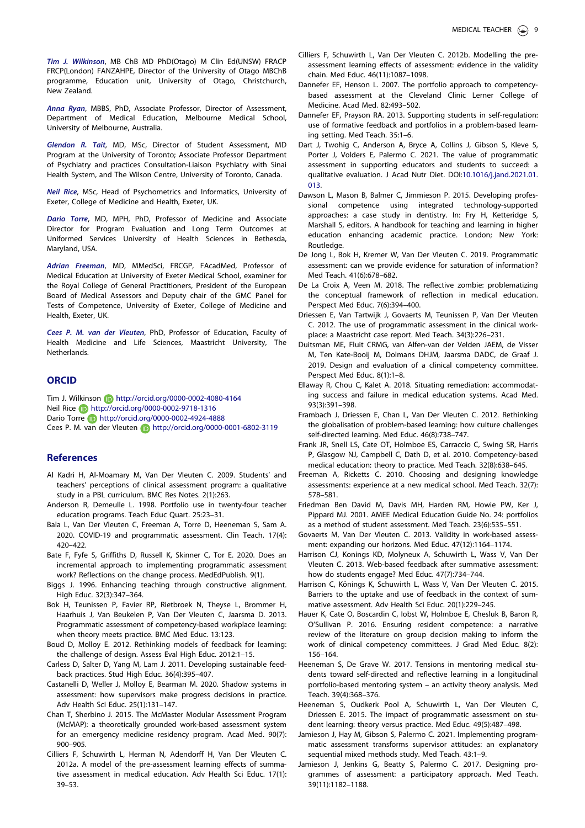Tim J. Wilkinson, MB ChB MD PhD(Otago) M Clin Ed(UNSW) FRACP FRCP(London) FANZAHPE, Director of the University of Otago MBChB programme, Education unit, University of Otago, Christchurch, New Zealand.

Anna Ryan, MBBS, PhD, Associate Professor, Director of Assessment, Department of Medical Education, Melbourne Medical School, University of Melbourne, Australia.

Glendon R. Tait, MD, MSc, Director of Student Assessment, MD Program at the University of Toronto; Associate Professor Department of Psychiatry and practices Consultation-Liaison Psychiatry with Sinai Health System, and The Wilson Centre, University of Toronto, Canada.

Neil Rice, MSc, Head of Psychometrics and Informatics, University of Exeter, College of Medicine and Health, Exeter, UK.

Dario Torre, MD, MPH, PhD, Professor of Medicine and Associate Director for Program Evaluation and Long Term Outcomes at Uniformed Services University of Health Sciences in Bethesda, Maryland, USA.

Adrian Freeman, MD, MMedSci, FRCGP, FAcadMed, Professor of Medical Education at University of Exeter Medical School, examiner for the Royal College of General Practitioners, President of the European Board of Medical Assessors and Deputy chair of the GMC Panel for Tests of Competence, University of Exeter, College of Medicine and Health, Exeter, UK.

Cees P. M. van der Vleuten, PhD, Professor of Education, Faculty of Health Medicine and Life Sciences, Maastricht University, The Netherlands.

#### **ORCID**

Tim J. Wilkinson **http://orcid.org/0000-0002-4080-4164** Neil Rice **http://orcid.org/0000-0002-9718-1316** Dario Torre **b** http://orcid.org/0000-0002-4924-4888 Cees P. M. van der Vleuten **busitste kanaal http://orcid.org/0000-0001-6802-3119** 

#### **References**

- Al Kadri H, Al-Moamary M, Van Der Vleuten C. 2009. Students' and teachers' perceptions of clinical assessment program: a qualitative study in a PBL curriculum. BMC Res Notes. 2(1):263.
- Anderson R, Demeulle L. 1998. Portfolio use in twenty-four teacher education programs. Teach Educ Quart. 25:23–31.
- Bala L, Van Der Vleuten C, Freeman A, Torre D, Heeneman S, Sam A. 2020. COVID-19 and programmatic assessment. Clin Teach. 17(4): 420–422.
- Bate F, Fyfe S, Griffiths D, Russell K, Skinner C, Tor E. 2020. Does an incremental approach to implementing programmatic assessment work? Reflections on the change process. MedEdPublish. 9(1).
- Biggs J. 1996. Enhancing teaching through constructive alignment. High Educ. 32(3):347–364.
- Bok H, Teunissen P, Favier RP, Rietbroek N, Theyse L, Brommer H, Haarhuis J, Van Beukelen P, Van Der Vleuten C, Jaarsma D. 2013. Programmatic assessment of competency-based workplace learning: when theory meets practice. BMC Med Educ. 13:123.
- Boud D, Molloy E. 2012. Rethinking models of feedback for learning: the challenge of design. Assess Eval High Educ. 2012:1–15.
- Carless D, Salter D, Yang M, Lam J. 2011. Developing sustainable feedback practices. Stud High Educ. 36(4):395–407.
- Castanelli D, Weller J, Molloy E, Bearman M. 2020. Shadow systems in assessment: how supervisors make progress decisions in practice. Adv Health Sci Educ. 25(1):131–147.
- Chan T, Sherbino J. 2015. The McMaster Modular Assessment Program (McMAP): a theoretically grounded work-based assessment system for an emergency medicine residency program. Acad Med. 90(7): 900–905.
- Cilliers F, Schuwirth L, Herman N, Adendorff H, Van Der Vleuten C. 2012a. A model of the pre-assessment learning effects of summative assessment in medical education. Adv Health Sci Educ. 17(1): 39–53.
- Cilliers F, Schuwirth L, Van Der Vleuten C. 2012b. Modelling the preassessment learning effects of assessment: evidence in the validity chain. Med Educ. 46(11):1087–1098.
- Dannefer EF, Henson L. 2007. The portfolio approach to competencybased assessment at the Cleveland Clinic Lerner College of Medicine. Acad Med. 82:493–502.
- Dannefer EF, Prayson RA. 2013. Supporting students in self-regulation: use of formative feedback and portfolios in a problem-based learning setting. Med Teach. 35:1–6.
- Dart J, Twohig C, Anderson A, Bryce A, Collins J, Gibson S, Kleve S, Porter J, Volders E, Palermo C. 2021. The value of programmatic assessment in supporting educators and students to succeed: a qualitative evaluation. J Acad Nutr Diet. DOI:10.1016/j.jand.2021.01. 013.
- Dawson L, Mason B, Balmer C, Jimmieson P. 2015. Developing professional competence using integrated technology-supported approaches: a case study in dentistry. In: Fry H, Ketteridge S, Marshall S, editors. A handbook for teaching and learning in higher education enhancing academic practice. London; New York: Routledge.
- De Jong L, Bok H, Kremer W, Van Der Vleuten C. 2019. Programmatic assessment: can we provide evidence for saturation of information? Med Teach. 41(6):678–682.
- De La Croix A, Veen M. 2018. The reflective zombie: problematizing the conceptual framework of reflection in medical education. Perspect Med Educ. 7(6):394–400.
- Driessen E, Van Tartwijk J, Govaerts M, Teunissen P, Van Der Vleuten C. 2012. The use of programmatic assessment in the clinical workplace: a Maastricht case report. Med Teach. 34(3):226–231.
- Duitsman ME, Fluit CRMG, van Alfen-van der Velden JAEM, de Visser M, Ten Kate-Booij M, Dolmans DHJM, Jaarsma DADC, de Graaf J. 2019. Design and evaluation of a clinical competency committee. Perspect Med Educ. 8(1):1–8.
- Ellaway R, Chou C, Kalet A. 2018. Situating remediation: accommodating success and failure in medical education systems. Acad Med. 93(3):391–398.
- Frambach J, Driessen E, Chan L, Van Der Vleuten C. 2012. Rethinking the globalisation of problem-based learning: how culture challenges self-directed learning. Med Educ. 46(8):738–747.
- Frank JR, Snell LS, Cate OT, Holmboe ES, Carraccio C, Swing SR, Harris P, Glasgow NJ, Campbell C, Dath D, et al. 2010. Competency-based medical education: theory to practice. Med Teach. 32(8):638–645.
- Freeman A, Ricketts C. 2010. Choosing and designing knowledge assessments: experience at a new medical school. Med Teach. 32(7): 578–581.
- Friedman Ben David M, Davis MH, Harden RM, Howie PW, Ker J, Pippard MJ. 2001. AMEE Medical Education Guide No. 24: portfolios as a method of student assessment. Med Teach. 23(6):535–551.
- Govaerts M, Van Der Vleuten C. 2013. Validity in work-based assessment: expanding our horizons. Med Educ. 47(12):1164–1174.
- Harrison CJ, Konings KD, Molyneux A, Schuwirth L, Wass V, Van Der Vleuten C. 2013. Web-based feedback after summative assessment: how do students engage? Med Educ. 47(7):734–744.
- Harrison C, Könings K, Schuwirth L, Wass V, Van Der Vleuten C. 2015. Barriers to the uptake and use of feedback in the context of summative assessment. Adv Health Sci Educ. 20(1):229–245.
- Hauer K, Cate O, Boscardin C, Iobst W, Holmboe E, Chesluk B, Baron R, O'Sullivan P. 2016. Ensuring resident competence: a narrative review of the literature on group decision making to inform the work of clinical competency committees. J Grad Med Educ. 8(2): 156–164.
- Heeneman S, De Grave W. 2017. Tensions in mentoring medical students toward self-directed and reflective learning in a longitudinal portfolio-based mentoring system – an activity theory analysis. Med Teach. 39(4):368–376.
- Heeneman S, Oudkerk Pool A, Schuwirth L, Van Der Vleuten C, Driessen E. 2015. The impact of programmatic assessment on student learning: theory versus practice. Med Educ. 49(5):487–498.
- Jamieson J, Hay M, Gibson S, Palermo C. 2021. Implementing programmatic assessment transforms supervisor attitudes: an explanatory sequential mixed methods study. Med Teach. 43:1–9.
- Jamieson J, Jenkins G, Beatty S, Palermo C. 2017. Designing programmes of assessment: a participatory approach. Med Teach. 39(11):1182–1188.